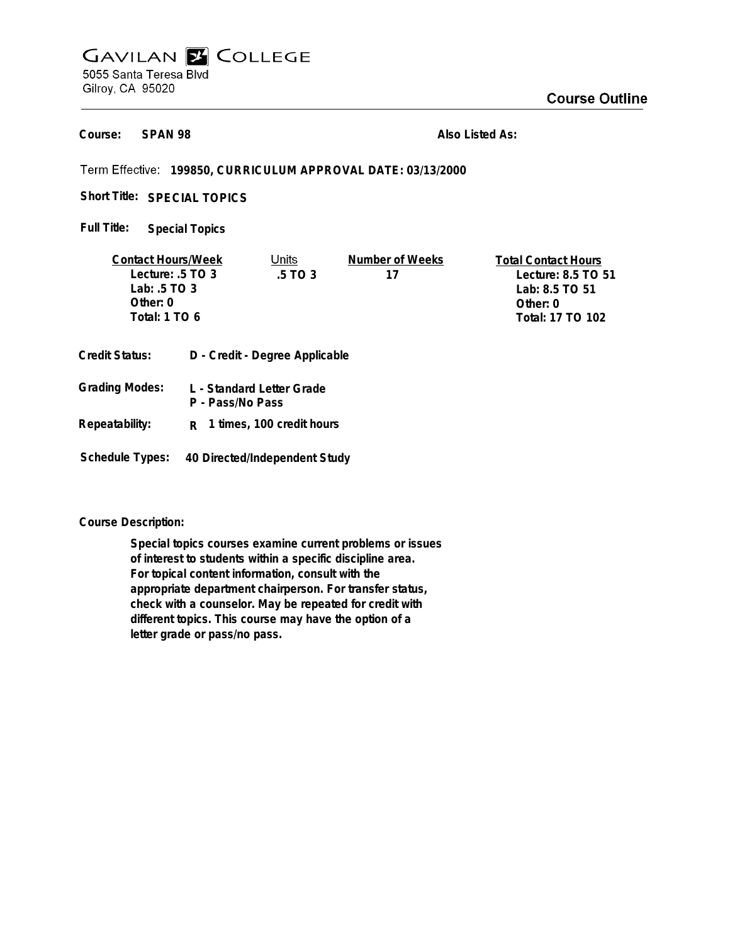## **GAVILAN E COLLEGE** 5055 Santa Teresa Blvd Gilroy, CA 95020

**SPAN 98 Course:**

**Also Listed As:**

## **199850, CURRICULUM APPROVAL DATE: 03/13/2000**

Short Title: SPECIAL TOPICS

**Special Topics Full Title:**

| <b>Contact Hours/Week</b> |  | Units                          | Number of Weeks  | <b>Total Contact Hours</b> |
|---------------------------|--|--------------------------------|------------------|----------------------------|
| Lecture: $.5$ TO 3        |  | .5 TO 3                        | 17               | Lecture: 8.5 TO 51         |
| Lab: $.5 \text{ TO } 3$   |  |                                |                  | Lab: 8.5 TO 51             |
| Other: 0                  |  |                                |                  | Other: $0$                 |
| Total: 1 TO 6             |  |                                | Total: 17 TO 102 |                            |
|                           |  |                                |                  |                            |
| <b>Credit Status:</b>     |  | D - Credit - Degree Applicable |                  |                            |

| <b>Grading Modes:</b> | L - Standard Letter Grade |
|-----------------------|---------------------------|
|                       | P - Pass/No Pass          |

**Repeatability: R 1 times, 100 credit hours**

**Schedule Types: 40 Directed/Independent Study**

## **Course Description:**

**Special topics courses examine current problems or issues of interest to students within a specific discipline area. For topical content information, consult with the appropriate department chairperson. For transfer status, check with a counselor. May be repeated for credit with different topics. This course may have the option of a letter grade or pass/no pass.**